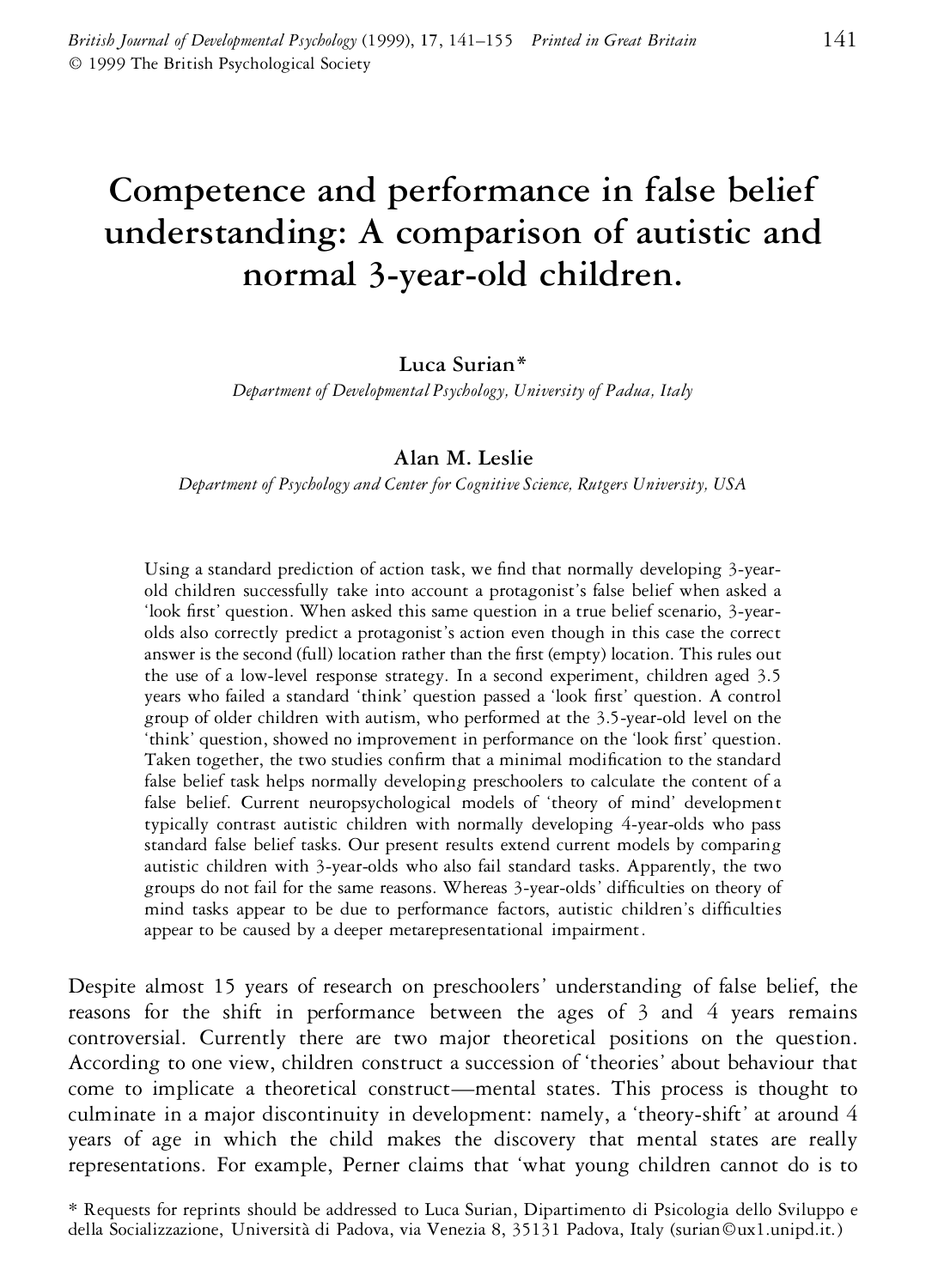# **Competence and performance in false belief understanding: A comparison of autistic and normal 3-year-old children.**

# **Luca Surian\***

*Department of Developmental Psychology, University of Padua, Italy*

# **Alan M. Leslie**

*Department of Psychology and Center for Cognitive Science, Rutgers University, USA*

Using a standard prediction of action task, we find that normally developing 3-yearold children successfully take into account a protagonist's false belief when asked a 'look first' question. When asked this same question in a true belief scenario, 3-yearolds also correctly predict a protagonist's action even though in this case the correct answer is the second (full) location rather than the first (empty) location. This rules out the use of a low-level response strategy. In a second experiment, children aged 3.5 years who failed a standard 'think' question passed a 'look first' question. A control group of older children with autism, who performed at the 3.5-year-old level on the 'think' question, showed no improvement in performance on the 'look first' question. Taken together, the two studies confirm that a minimal modification to the standard false belief task helps normally developing preschoolers to calculate the content of a false belief. Current neuropsychological models of 'theory of mind' development typically contrast autistic children with normally developing 4-year-olds who pass standard false belief tasks. Our present results extend current models by comparing autistic children with 3-year-olds who also fail standard tasks. Apparently, the two groups do not fail for the same reasons. Whereas 3-year-olds' difculties on theory of mind tasks appear to be due to performance factors, autistic children's difficulties appear to be caused by a deeper metarepresentational impairment.

Despite almost 15 years of research on preschoolers' understanding of false belief, the reasons for the shift in performance between the ages of 3 and 4 years remains controversial. Currently there are two major theoretical positions on the question. According to one view, children construct a succession of 'theories' about behaviour that come to implicate a theoretical construct—mental states. This process is thought to culminate in a major discontinuity in development: namely, a 'theory-shift' at around 4 years of age in which the child makes the discovery that mental states are really representations. For example, Perner claims that 'what young children cannot do is to

<sup>\*</sup> Requests for reprints should be addressed to Luca Surian, Dipartimento di Psicologia dello Sviluppo e della Socializzazione, Università di Padova, via Venezia 8, 35131 Padova, Italy (surian©ux1.unipd.it.)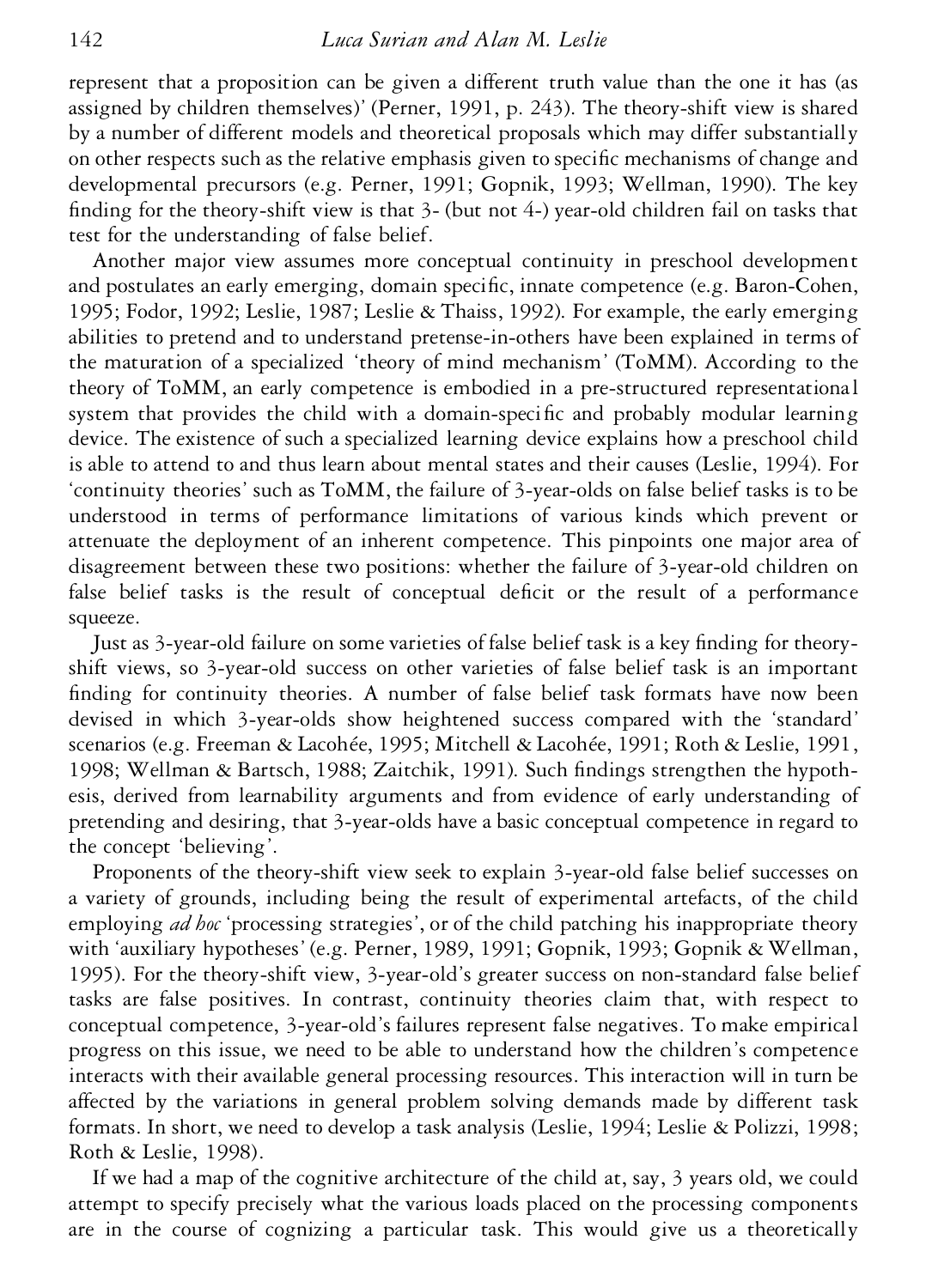represent that a proposition can be given a different truth value than the one it has (as assigned by children themselves)' (Perner, 1991, p. 243). The theory-shift view is shared by a number of different models and theoretical proposals which may differ substantially on other respects such as the relative emphasis given to specific mechanisms of change and developmental precursors (e.g. Perner, 1991; Gopnik, 1993; Wellman, 1990). The key finding for the theory-shift view is that  $3-$  (but not  $4-$ ) year-old children fail on tasks that test for the understanding of false belief.

Another major view assumes more conceptual continuity in preschool development and postulates an early emerging, domain specific, innate competence (e.g. Baron-Cohen, 1995; Fodor, 1992; Leslie, 1987; Leslie & Thaiss, 1992). For example, the early emerging abilities to pretend and to understand pretense-in-others have been explained in terms of the maturation of a specialized 'theory of mind mechanism' (ToMM). According to the theory of ToMM, an early competence is embodied in a pre-structured representational system that provides the child with a domain-specific and probably modular learning device. The existence of such a specialized learning device explains how a preschool child is able to attend to and thus learn about mental states and their causes (Leslie, 1994). For 'continuity theories' such as ToMM, the failure of 3-year-olds on false belief tasks is to be understood in terms of performance limitations of various kinds which prevent or attenuate the deployment of an inherent competence. This pinpoints one major area of disagreement between these two positions: whether the failure of 3-year-old children on false belief tasks is the result of conceptual deficit or the result of a performance squeeze.

Just as 3-year-old failure on some varieties of false belief task is a key finding for theoryshift views, so 3-year-old success on other varieties of false belief task is an important finding for continuity theories. A number of false belief task formats have now been devised in which 3-year-olds show heightened success compared with the 'standard' scenarios (e.g. Freeman & Lacohée, 1995; Mitchell & Lacohée, 1991; Roth & Leslie, 1991, 1998; Wellman & Bartsch, 1988; Zaitchik, 1991). Such findings strengthen the hypothesis, derived from learnability arguments and from evidence of early understanding of pretending and desiring, that 3-year-olds have a basic conceptual competence in regard to the concept 'believing'.

Proponents of the theory-shift view seek to explain 3-year-old false belief successes on a variety of grounds, including being the result of experimental artefacts, of the child employing *ad hoc* 'processing strategies', or of the child patching his inappropriate theory with 'auxiliary hypotheses' (e.g. Perner, 1989, 1991; Gopnik, 1993; Gopnik & Wellman, 1995). For the theory-shift view, 3-year-old's greater success on non-standard false belief tasks are false positives. In contrast, continuity theories claim that, with respect to conceptual competence, 3-year-old's failures represent false negatives. To make empirical progress on this issue, we need to be able to understand how the children's competence interacts with their available general processing resources. This interaction will in turn be affected by the variations in general problem solving demands made by different task formats. In short, we need to develop a task analysis (Leslie, 1994; Leslie & Polizzi, 1998; Roth & Leslie, 1998).

If we had a map of the cognitive architecture of the child at, say, 3 years old, we could attempt to specify precisely what the various loads placed on the processing components are in the course of cognizing a particular task. This would give us a theoretically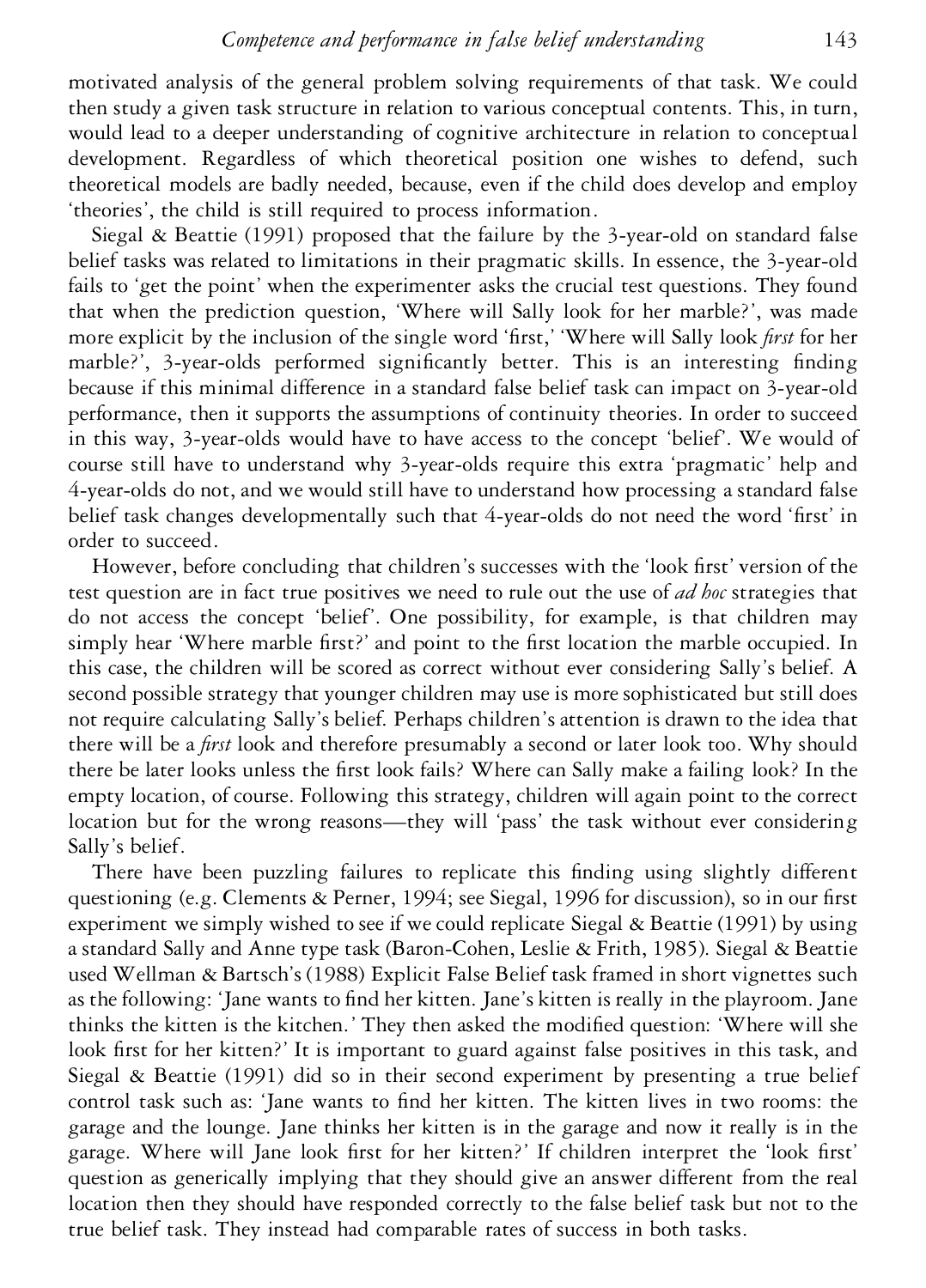motivated analysis of the general problem solving requirements of that task. We could then study a given task structure in relation to various conceptual contents. This, in turn, would lead to a deeper understanding of cognitive architecture in relation to conceptual development. Regardless of which theoretical position one wishes to defend, such theoretical models are badly needed, because, even if the child does develop and employ 'theories', the child is still required to process information.

Siegal & Beattie (1991) proposed that the failure by the 3-year-old on standard false belief tasks was related to limitations in their pragmatic skills. In essence, the 3-year-old fails to 'get the point' when the experimenter asks the crucial test questions. They found that when the prediction question, 'Where will Sally look for her marble?', was made more explicit by the inclusion of the single word 'first,' 'Where will Sally look *first* for her marble?', 3-year-olds performed significantly better. This is an interesting finding because if this minimal difference in a standard false belief task can impact on 3-year-old performance, then it supports the assumptions of continuity theories. In order to succeed in this way, 3-year-olds would have to have access to the concept 'belief'. We would of course still have to understand why 3-year-olds require this extra 'pragmatic' help and 4-year-olds do not, and we would still have to understand how processing a standard false belief task changes developmentally such that 4-year-olds do not need the word 'first' in order to succeed.

However, before concluding that children's successes with the 'look first' version of the test question are in fact true positives we need to rule out the use of *ad hoc* strategies that do not access the concept 'belief'. One possibility, for example, is that children may simply hear 'Where marble first?' and point to the first location the marble occupied. In this case, the children will be scored as correct without ever considering Sally's belief. A second possible strategy that younger children may use is more sophisticated but still does not require calculating Sally's belief. Perhaps children's attention is drawn to the idea that there will be a *first* look and therefore presumably a second or later look too. Why should there be later looks unless the first look fails? Where can Sally make a failing look? In the empty location, of course. Following this strategy, children will again point to the correct location but for the wrong reasons—they will 'pass' the task without ever considering Sally's belief.

There have been puzzling failures to replicate this finding using slightly different questioning (e.g. Clements & Perner, 1994; see Siegal, 1996 for discussion), so in our first experiment we simply wished to see if we could replicate Siegal & Beattie (1991) by using a standard Sally and Anne type task (Baron-Cohen, Leslie & Frith, 1985). Siegal & Beattie used Wellman & Bartsch's (1988) Explicit False Belief task framed in short vignettes such as the following: 'Jane wants to find her kitten. Jane's kitten is really in the playroom. Jane thinks the kitten is the kitchen.' They then asked the modied question: 'Where will she look first for her kitten?' It is important to guard against false positives in this task, and Siegal & Beattie (1991) did so in their second experiment by presenting a true belief control task such as: 'Jane wants to find her kitten. The kitten lives in two rooms: the garage and the lounge. Jane thinks her kitten is in the garage and now it really is in the garage. Where will Jane look first for her kitten?' If children interpret the 'look first' question as generically implying that they should give an answer different from the real location then they should have responded correctly to the false belief task but not to the true belief task. They instead had comparable rates of success in both tasks.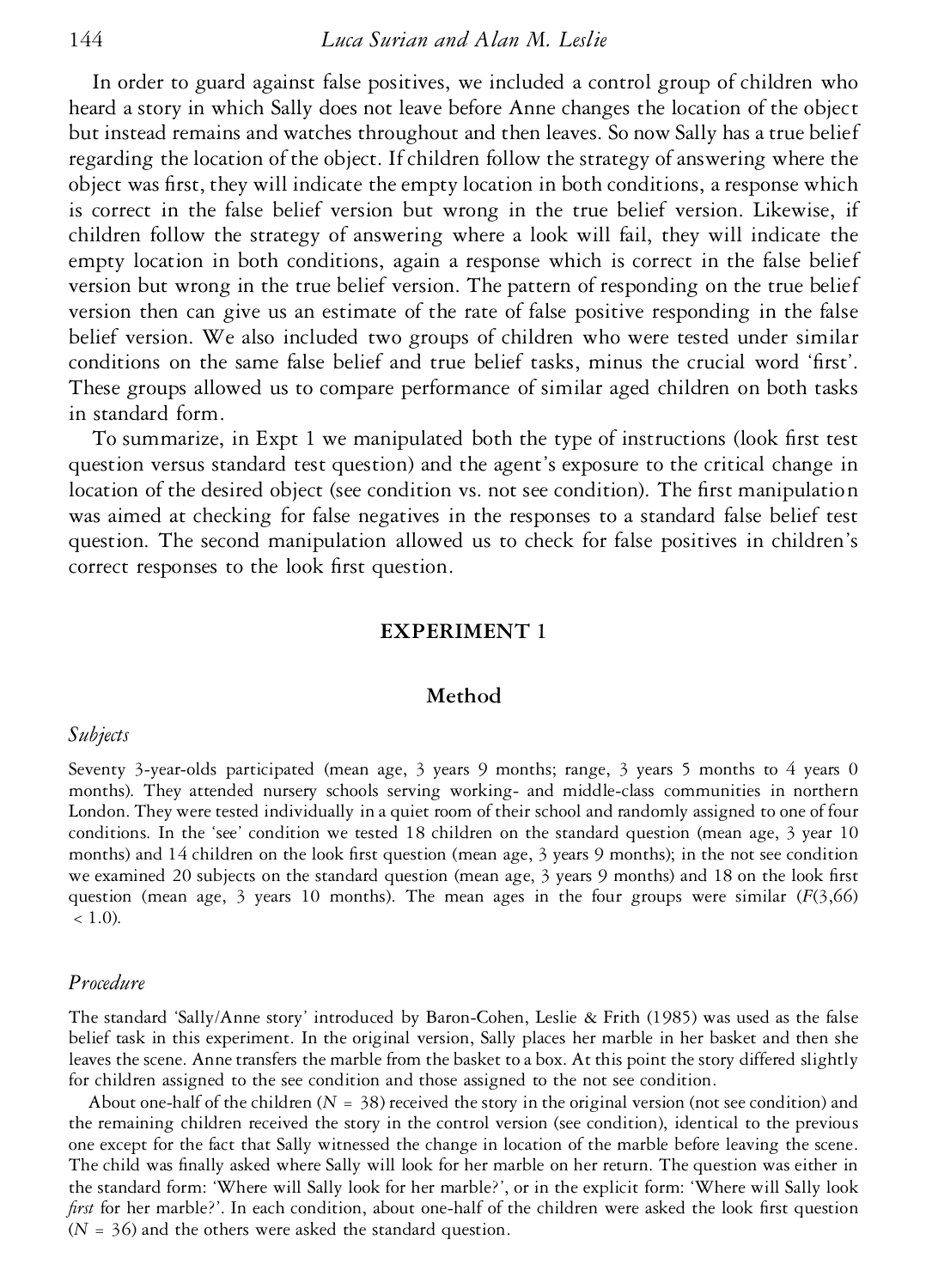In order to guard against false positives, we included a control group of children who heard a story in which Sally does not leave before Anne changes the location of the object but instead remains and watches throughout and then leaves. So now Sally has a true belief regarding the location of the object. If children follow the strategy of answering where the object was first, they will indicate the empty location in both conditions, a response which is correct in the false belief version but wrong in the true belief version. Likewise, if children follow the strategy of answering where a look will fail, they will indicate the empty location in both conditions, again a response which is correct in the false belief version but wrong in the true belief version. The pattern of responding on the true belief version then can give us an estimate of the rate of false positive responding in the false belief version. We also included two groups of children who were tested under similar conditions on the same false belief and true belief tasks, minus the crucial word 'first'. These groups allowed us to compare performance of similar aged children on both tasks in standard form.

To summarize, in Expt 1 we manipulated both the type of instructions (look first test question versus standard test question) and the agent's exposure to the critical change in location of the desired object (see condition vs. not see condition). The first manipulation was aimed at checking for false negatives in the responses to a standard false belief test question. The second manipulation allowed us to check for false positives in children's correct responses to the look first question.

## **EXPERIMENT 1**

## **Method**

#### *Subjects*

Seventy 3-year-olds participated (mean age, 3 years 9 months; range, 3 years 5 months to 4 years 0 months). They attended nursery schools serving working- and middle-class communities in northern London. They were tested individually in a quiet room of their school and randomly assigned to one of four conditions. In the 'see' condition we tested 18 children on the standard question (mean age, 3 year 10 months) and 14 children on the look first question (mean age, 3 years 9 months); in the not see condition we examined 20 subjects on the standard question (mean age,  $3$  years 9 months) and 18 on the look first question (mean age, 3 years 10 months). The mean ages in the four groups were similar  $(F(3,66))$  $(1.0)$ .

#### *Procedure*

The standard 'Sally/Anne story' introduced by Baron-Cohen, Leslie & Frith (1985) was used as the false belief task in this experiment. In the original version, Sally places her marble in her basket and then she leaves the scene. Anne transfers the marble from the basket to a box. At this point the story differed slightly for children assigned to the see condition and those assigned to the not see condition.

About one-half of the children  $(N = 38)$  received the story in the original version (not see condition) and the remaining children received the story in the control version (see condition), identical to the previous one except for the fact that Sally witnessed the change in location of the marble before leaving the scene. The child was finally asked where Sally will look for her marble on her return. The question was either in the standard form: 'Where will Sally look for her marble?', or in the explicit form: 'Where will Sally look *first* for her marble?'. In each condition, about one-half of the children were asked the look first question (*N* = 36) and the others were asked the standard question.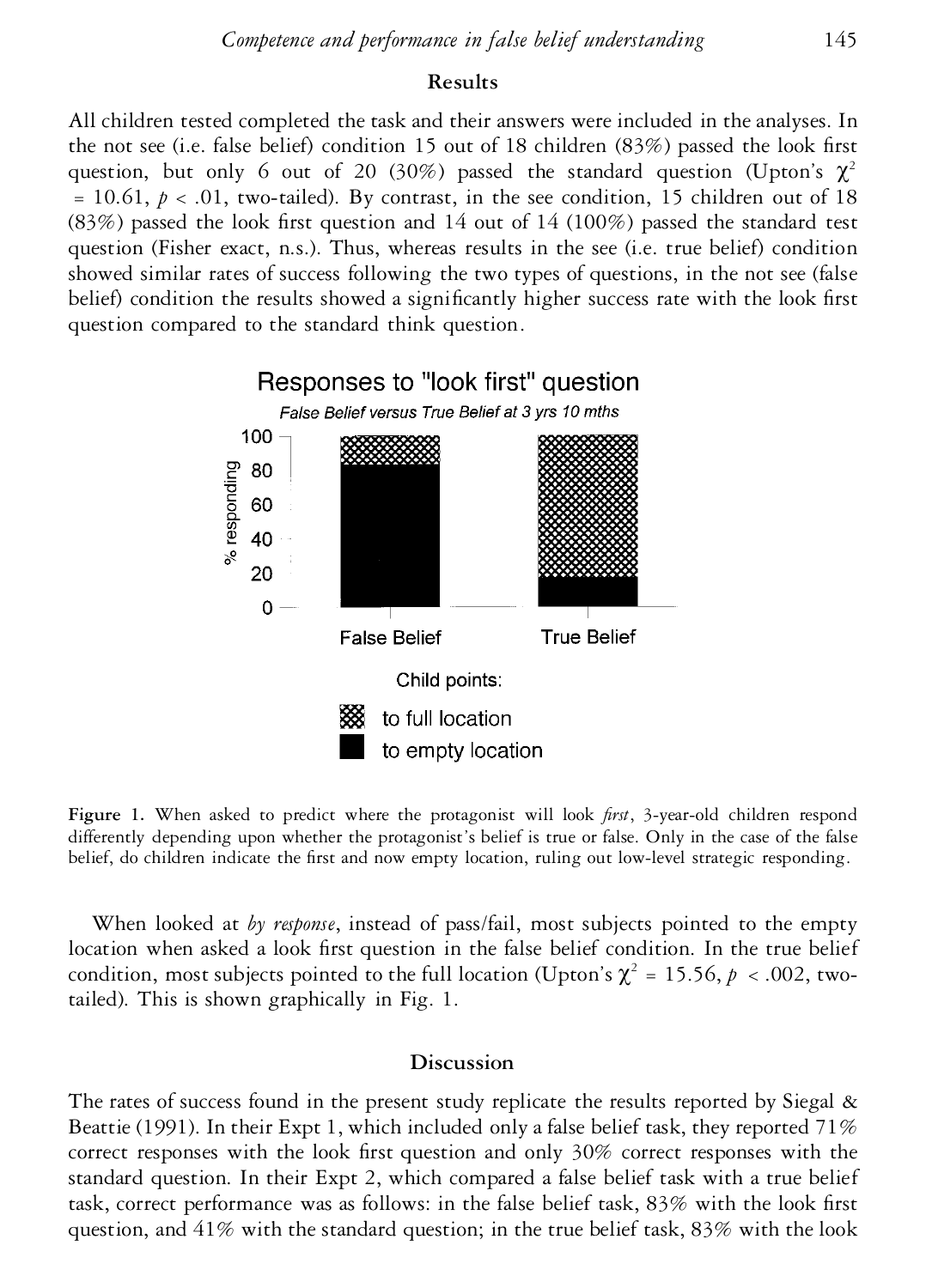# **Results**

All children tested completed the task and their answers were included in the analyses. In the not see (i.e. false belief) condition 15 out of 18 children  $(83%)$  passed the look first question, but only 6 out of 20 (30%) passed the standard question (Upton's  $\chi^2$  $= 10.61, p < .01$ , two-tailed). By contrast, in the see condition, 15 children out of 18 (83%) passed the look first question and 14 out of 14 (100%) passed the standard test question (Fisher exact, n.s.). Thus, whereas results in the see (i.e. true belief) condition showed similar rates of success following the two types of questions, in the not see (false belief) condition the results showed a significantly higher success rate with the look first question compared to the standard think question.



Figure 1. When asked to predict where the protagonist will look *first*, 3-year-old children respond differently depending upon whether the protagonist's belief is true or false. Only in the case of the false belief, do children indicate the first and now empty location, ruling out low-level strategic responding.

When looked at *by response*, instead of pass/fail, most subjects pointed to the empty location when asked a look first question in the false belief condition. In the true belief condition, most subjects pointed to the full location (Upton's  $\chi^2$  = 15.56,  $p < .002$ , twotailed). This is shown graphically in Fig. 1.

## **Discussion**

The rates of success found in the present study replicate the results reported by Siegal  $\&$ Beattie (1991). In their Expt 1, which included only a false belief task, they reported 71% correct responses with the look first question and only  $30\%$  correct responses with the standard question. In their Expt 2, which compared a false belief task with a true belief task, correct performance was as follows: in the false belief task, 83% with the look first question, and  $41\%$  with the standard question; in the true belief task,  $83\%$  with the look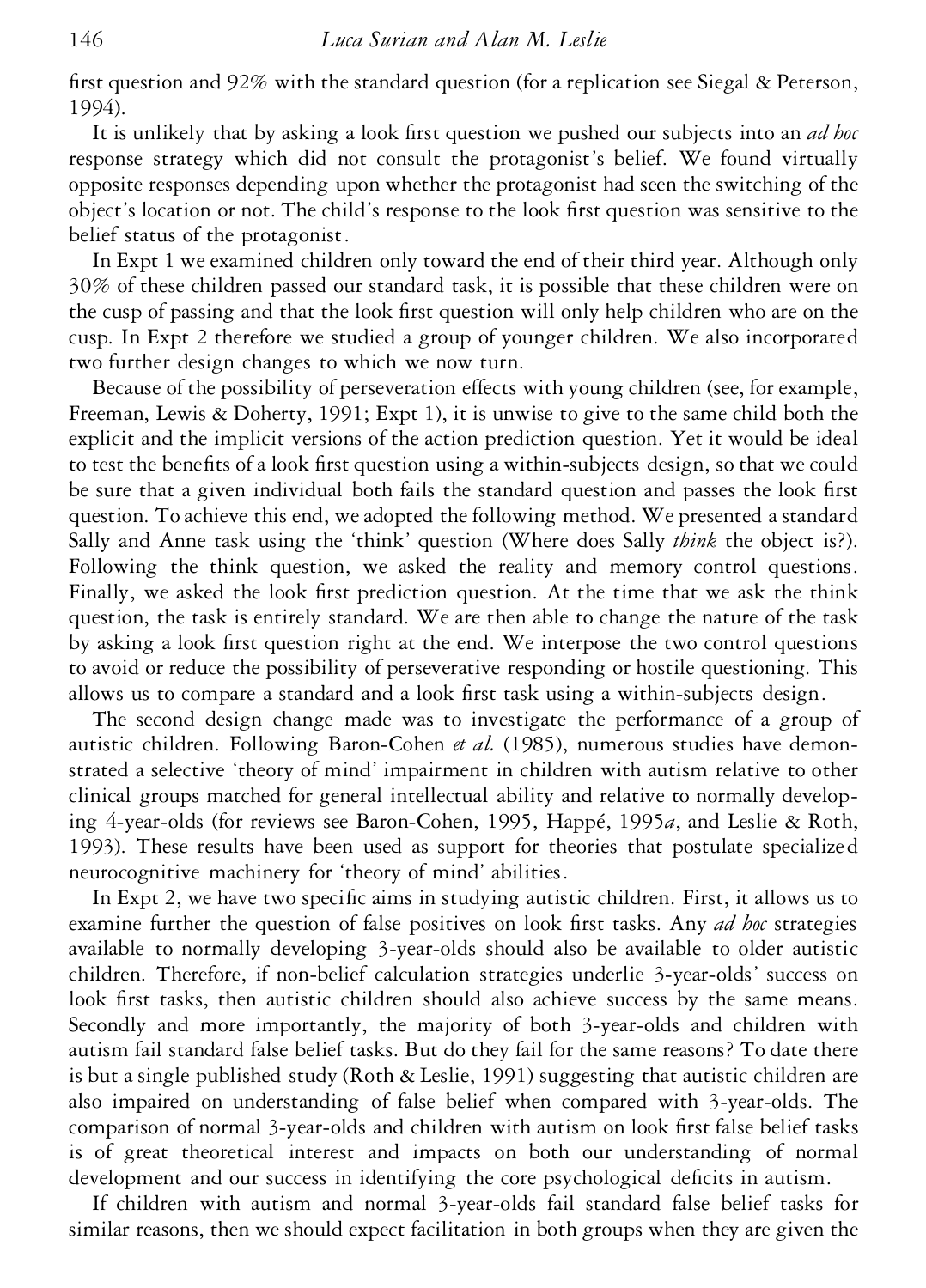first question and  $92\%$  with the standard question (for a replication see Siegal & Peterson, 1994).

It is unlikely that by asking a look first question we pushed our subjects into an *ad hoc* response strategy which did not consult the protagonist's belief. We found virtually opposite responses depending upon whether the protagonist had seen the switching of the object's location or not. The child's response to the look first question was sensitive to the belief status of the protagonist.

In Expt 1 we examined children only toward the end of their third year. Although only 30% of these children passed our standard task, it is possible that these children were on the cusp of passing and that the look first question will only help children who are on the cusp. In Expt 2 therefore we studied a group of younger children. We also incorporated two further design changes to which we now turn.

Because of the possibility of perseveration effects with young children (see, for example, Freeman, Lewis & Doherty, 1991; Expt 1), it is unwise to give to the same child both the explicit and the implicit versions of the action prediction question. Yet it would be ideal to test the benefits of a look first question using a within-subjects design, so that we could be sure that a given individual both fails the standard question and passes the look first question. To achieve this end, we adopted the following method. We presented a standard Sally and Anne task using the 'think' question (Where does Sally *think* the object is?). Following the think question, we asked the reality and memory control questions. Finally, we asked the look first prediction question. At the time that we ask the think question, the task is entirely standard. We are then able to change the nature of the task by asking a look first question right at the end. We interpose the two control questions to avoid or reduce the possibility of perseverative responding or hostile questioning. This allows us to compare a standard and a look first task using a within-subjects design.

The second design change made was to investigate the performance of a group of autistic children. Following Baron-Cohen *et al.* (1985), numerous studies have demonstrated a selective 'theory of mind' impairment in children with autism relative to other clinical groups matched for general intellectual ability and relative to normally developing 4-year-olds (for reviews see Baron-Cohen, 1995, Happé, 1995*a*, and Leslie & Roth, 1993). These results have been used as support for theories that postulate specialized neurocognitive machinery for 'theory of mind' abilities.

In Expt 2, we have two specific aims in studying autistic children. First, it allows us to examine further the question of false positives on look first tasks. Any *ad hoc* strategies available to normally developing 3-year-olds should also be available to older autistic children. Therefore, if non-belief calculation strategies underlie 3-year-olds' success on look first tasks, then autistic children should also achieve success by the same means. Secondly and more importantly, the majority of both 3-year-olds and children with autism fail standard false belief tasks. But do they fail for the same reasons? To date there is but a single published study (Roth & Leslie, 1991) suggesting that autistic children are also impaired on understanding of false belief when compared with 3-year-olds. The comparison of normal 3-year-olds and children with autism on look first false belief tasks is of great theoretical interest and impacts on both our understanding of normal development and our success in identifying the core psychological deficits in autism.

If children with autism and normal 3-year-olds fail standard false belief tasks for similar reasons, then we should expect facilitation in both groups when they are given the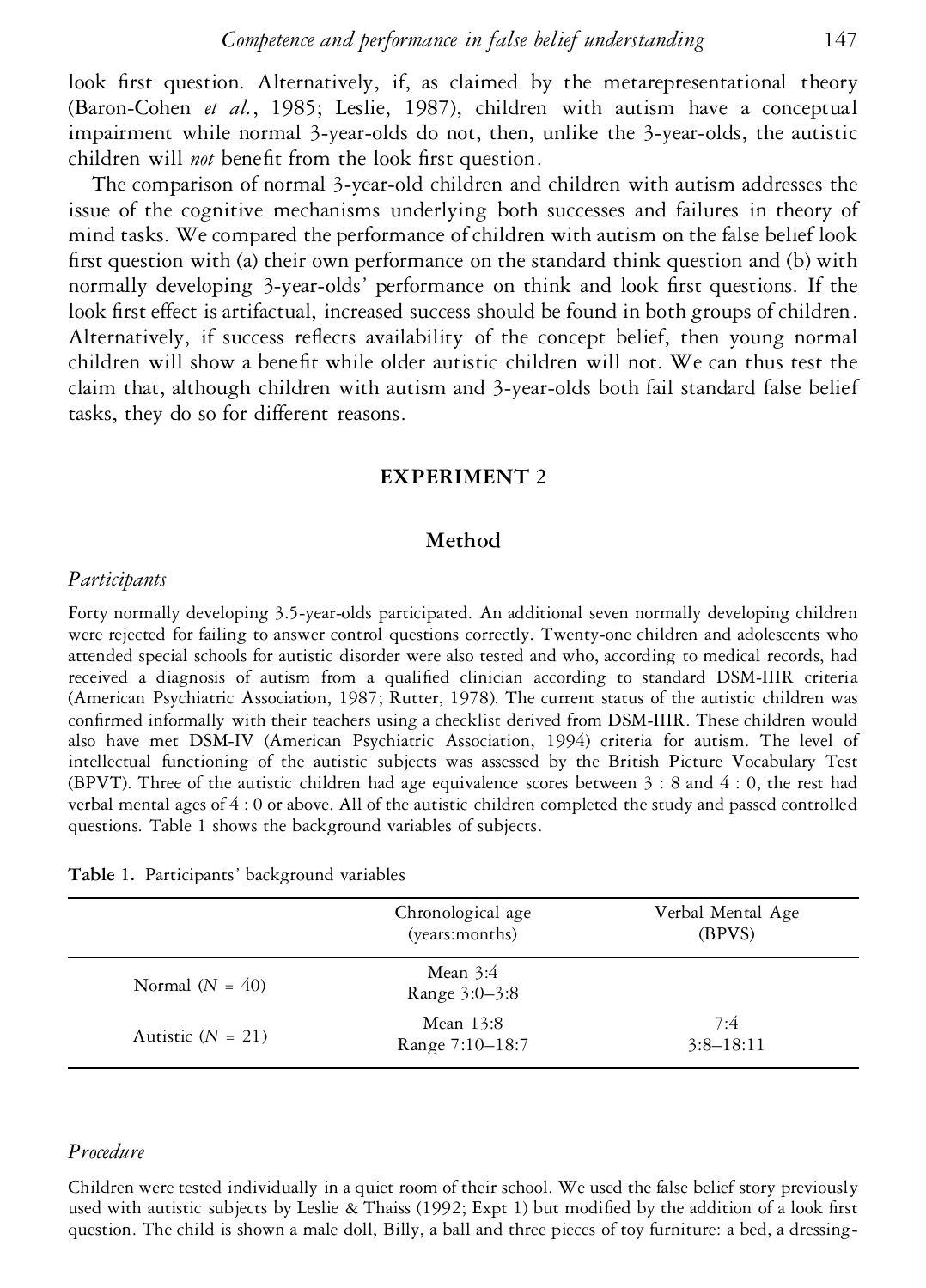look first question. Alternatively, if, as claimed by the metarepresentational theory (Baron-Cohen *et al.*, 1985; Leslie, 1987), children with autism have a conceptual impairment while normal 3-year-olds do not, then, unlike the 3-year-olds, the autistic children will *not* benefit from the look first question.

The comparison of normal 3-year-old children and children with autism addresses the issue of the cognitive mechanisms underlying both successes and failures in theory of mind tasks. We compared the performance of children with autism on the false belief look first question with (a) their own performance on the standard think question and (b) with normally developing 3-year-olds' performance on think and look first questions. If the look first effect is artifactual, increased success should be found in both groups of children. Alternatively, if success reflects availability of the concept belief, then young normal children will show a benefit while older autistic children will not. We can thus test the claim that, although children with autism and 3-year-olds both fail standard false belief tasks, they do so for different reasons.

## **EXPERIMENT 2**

## **Method**

#### *Participants*

Forty normally developing 3.5-year-olds participated. An additional seven normally developing children were rejected for failing to answer control questions correctly. Twenty-one children and adolescents who attended special schools for autistic disorder were also tested and who, according to medical records, had received a diagnosis of autism from a qualified clinician according to standard DSM-IIIR criteria (American Psychiatric Association, 1987; Rutter, 1978). The current status of the autistic children was confirmed informally with their teachers using a checklist derived from DSM-IIIR. These children would also have met DSM-IV (American Psychiatric Association, 1994) criteria for autism. The level of intellectual functioning of the autistic subjects was assessed by the British Picture Vocabulary Test (BPVT). Three of the autistic children had age equivalence scores between 3 : 8 and 4 : 0, the rest had verbal mental ages of 4 : 0 or above. All of the autistic children completed the study and passed controlled questions. Table 1 shows the background variables of subjects.

|  | Table 1. Participants' background variables |  |  |
|--|---------------------------------------------|--|--|
|--|---------------------------------------------|--|--|

|                     | Chronological age<br>(years:months) | Verbal Mental Age<br>(BPVS) |
|---------------------|-------------------------------------|-----------------------------|
| Normal $(N = 40)$   | Mean $3:4$<br>Range 3:0–3:8         |                             |
| Autistic $(N = 21)$ | Mean 13:8<br>Range 7:10-18:7        | 7:4<br>$3:8-18:11$          |

# *Procedure*

Children were tested individually in a quiet room of their school. We used the false belief story previously used with autistic subjects by Leslie & Thaiss (1992; Expt 1) but modified by the addition of a look first question. The child is shown a male doll, Billy, a ball and three pieces of toy furniture: a bed, a dressing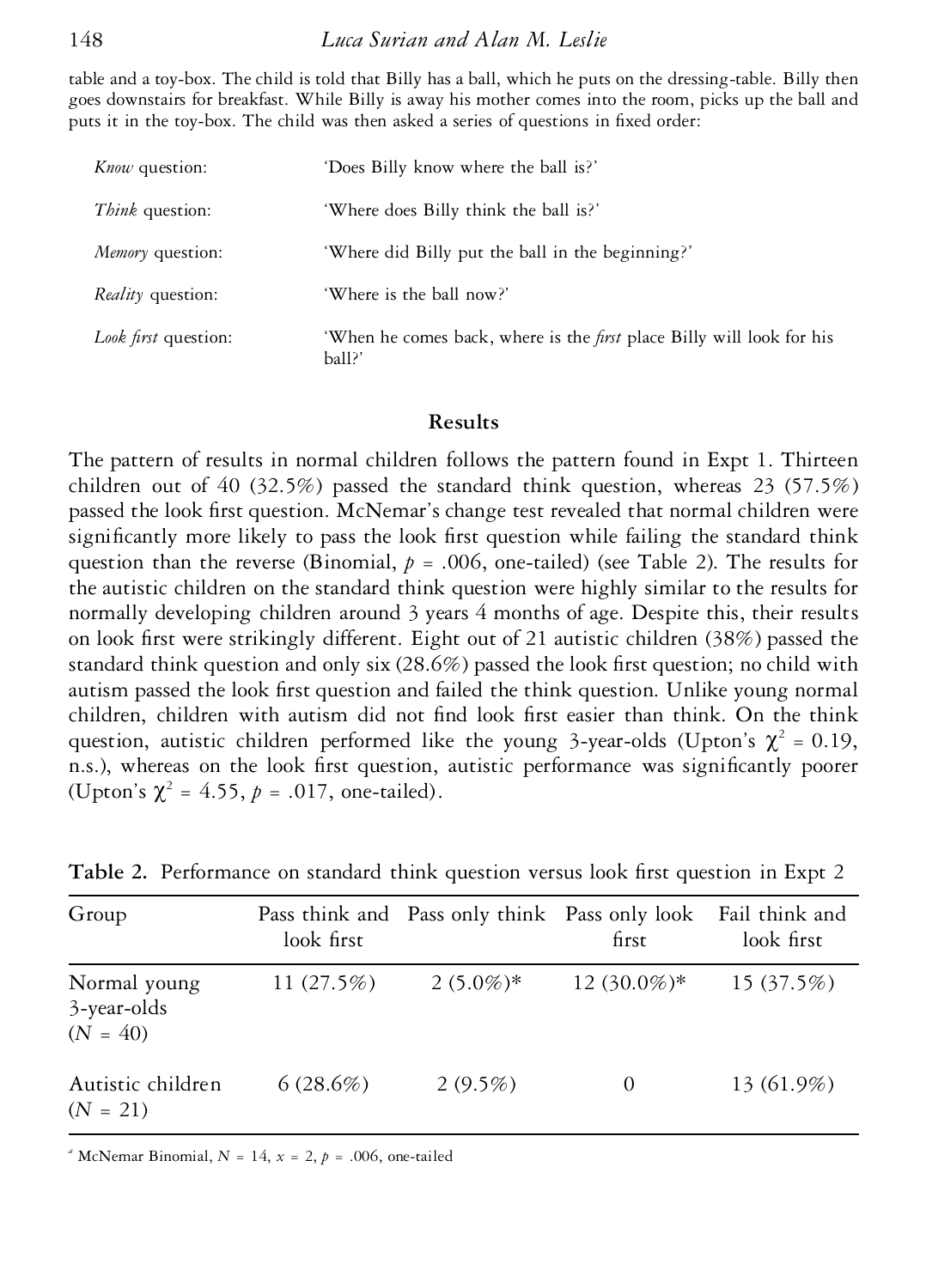table and a toy-box. The child is told that Billy has a ball, which he puts on the dressing-table. Billy then goes downstairs for breakfast. While Billy is away his mother comes into the room, picks up the ball and puts it in the toy-box. The child was then asked a series of questions in fixed order:

| <i>Know</i> question:    | 'Does Billy know where the ball is?'                                                   |  |  |
|--------------------------|----------------------------------------------------------------------------------------|--|--|
| <i>Think</i> question:   | 'Where does Billy think the ball is?'                                                  |  |  |
| Memory question:         | 'Where did Billy put the ball in the beginning?'                                       |  |  |
| <i>Reality</i> question: | 'Where is the ball now?'                                                               |  |  |
| Look first question:     | 'When he comes back, where is the <i>first</i> place Billy will look for his<br>ball?' |  |  |

## **Results**

The pattern of results in normal children follows the pattern found in Expt 1. Thirteen children out of 40 (32.5%) passed the standard think question, whereas 23 (57.5%) passed the look first question. McNemar's change test revealed that normal children were significantly more likely to pass the look first question while failing the standard think question than the reverse (Binomial,  $p = .006$ , one-tailed) (see Table 2). The results for the autistic children on the standard think question were highly similar to the results for normally developing children around 3 years 4 months of age. Despite this, their results on look first were strikingly different. Eight out of 21 autistic children (38%) passed the standard think question and only six  $(28.6%)$  passed the look first question; no child with autism passed the look first question and failed the think question. Unlike young normal children, children with autism did not find look first easier than think. On the think question, autistic children performed like the young 3-year-olds (Upton's  $\chi^2 = 0.19$ , n.s.), whereas on the look first question, autistic performance was significantly poorer (Upton's  $\chi^2 = 4.55$ ,  $p = .017$ , one-tailed).

| Group                                     | look first   | Pass think and Pass only think Pass only look Fail think and | first         | look first |
|-------------------------------------------|--------------|--------------------------------------------------------------|---------------|------------|
| Normal young<br>3-year-olds<br>$(N = 40)$ | 11 $(27.5%)$ | $2(5.0\%)*$                                                  | $12(30.0\%)*$ | 15(37.5%)  |
| Autistic children<br>$(N = 21)$           | 6(28.6%)     | $2(9.5\%)$                                                   | $\theta$      | 13 (61.9%) |

**Table 2.** Performance on standard think question versus look first question in Expt 2

<sup>*a*</sup> McNemar Binomial,  $N = 14$ ,  $x = 2$ ,  $p = .006$ , one-tailed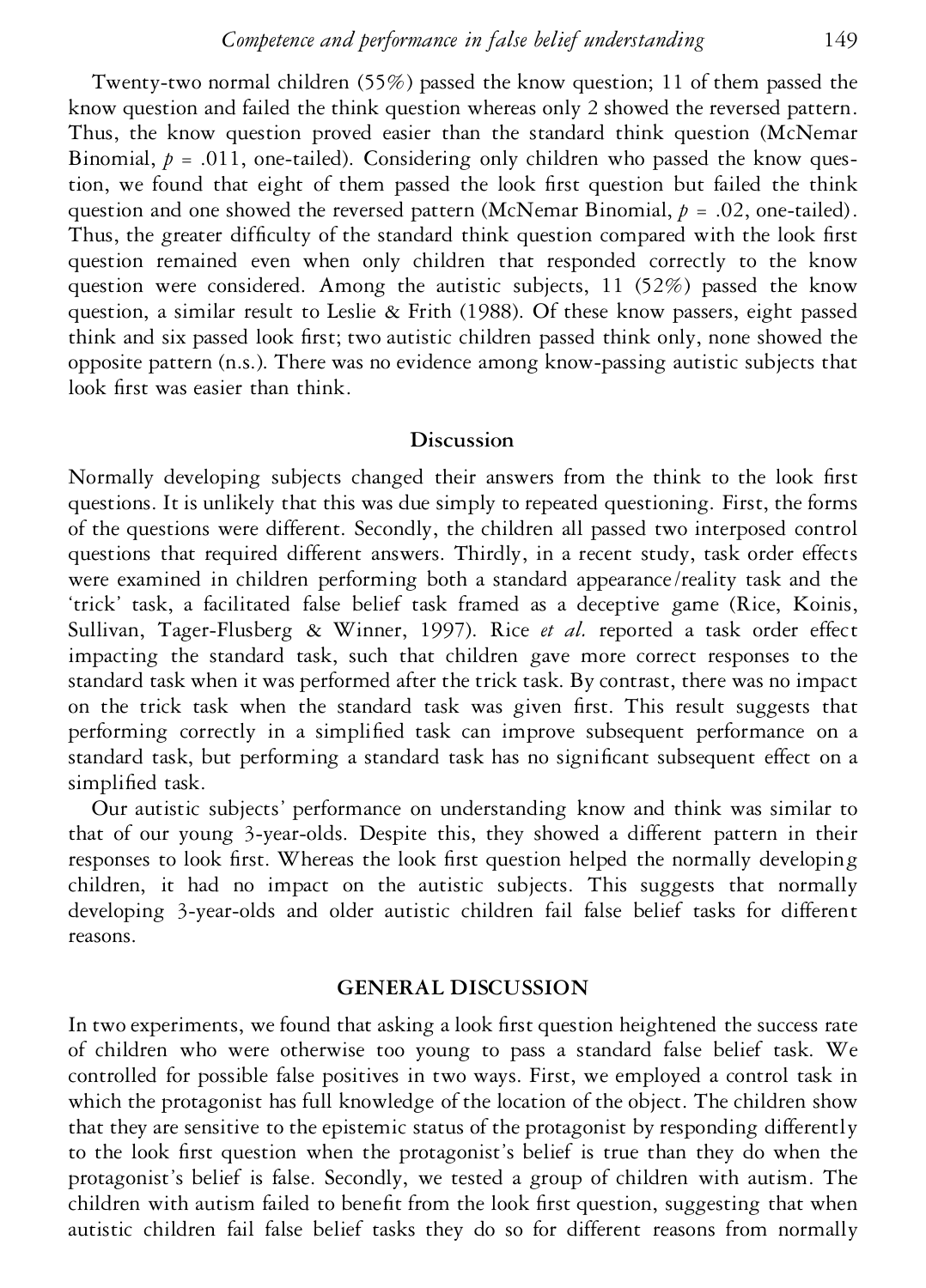Twenty-two normal children (55%) passed the know question; 11 of them passed the know question and failed the think question whereas only 2 showed the reversed pattern. Thus, the know question proved easier than the standard think question (McNemar Binomial,  $p = .011$ , one-tailed). Considering only children who passed the know question, we found that eight of them passed the look first question but failed the think question and one showed the reversed pattern (McNemar Binomial,  $p = .02$ , one-tailed). Thus, the greater difficulty of the standard think question compared with the look first question remained even when only children that responded correctly to the know question were considered. Among the autistic subjects,  $11$  (52%) passed the know question, a similar result to Leslie & Frith (1988). Of these know passers, eight passed think and six passed look first; two autistic children passed think only, none showed the opposite pattern (n.s.). There was no evidence among know-passing autistic subjects that look first was easier than think.

# **Discussion**

Normally developing subjects changed their answers from the think to the look first questions. It is unlikely that this was due simply to repeated questioning. First, the forms of the questions were different. Secondly, the children all passed two interposed control questions that required different answers. Thirdly, in a recent study, task order effects were examined in children performing both a standard appearance/reality task and the 'trick' task, a facilitated false belief task framed as a deceptive game (Rice, Koinis, Sullivan, Tager-Flusberg & Winner, 1997). Rice *et al.* reported a task order effect impacting the standard task, such that children gave more correct responses to the standard task when it was performed after the trick task. By contrast, there was no impact on the trick task when the standard task was given first. This result suggests that performing correctly in a simplied task can improve subsequent performance on a standard task, but performing a standard task has no significant subsequent effect on a simplified task.

Our autistic subjects' performance on understanding know and think was similar to that of our young 3-year-olds. Despite this, they showed a different pattern in their responses to look first. Whereas the look first question helped the normally developing children, it had no impact on the autistic subjects. This suggests that normally developing 3-year-olds and older autistic children fail false belief tasks for different reasons.

#### **GENERAL DISCUSSION**

In two experiments, we found that asking a look first question heightened the success rate of children who were otherwise too young to pass a standard false belief task. We controlled for possible false positives in two ways. First, we employed a control task in which the protagonist has full knowledge of the location of the object. The children show that they are sensitive to the epistemic status of the protagonist by responding differently to the look first question when the protagonist's belief is true than they do when the protagonist's belief is false. Secondly, we tested a group of children with autism. The children with autism failed to benefit from the look first question, suggesting that when autistic children fail false belief tasks they do so for different reasons from normally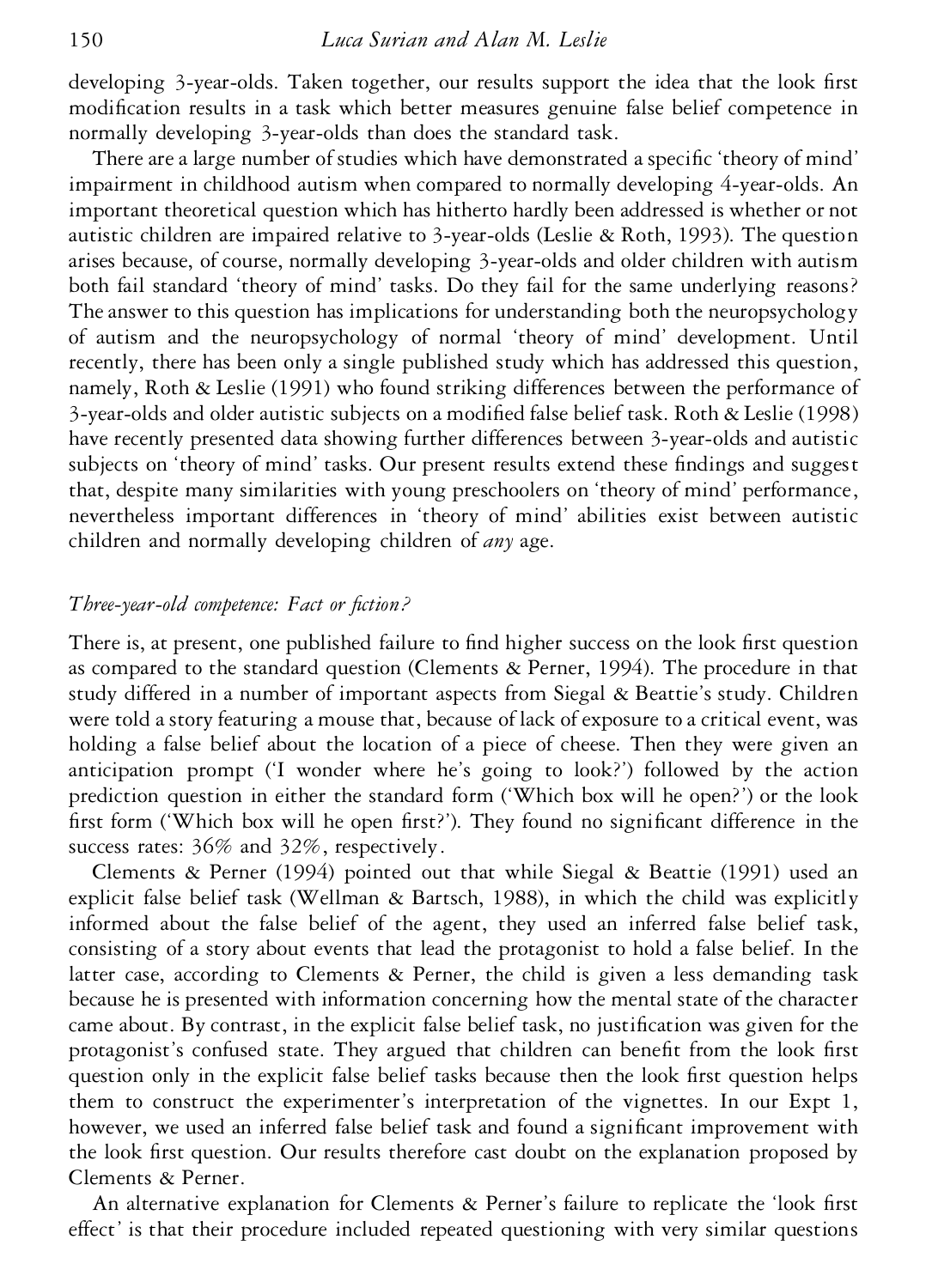developing 3-year-olds. Taken together, our results support the idea that the look first modification results in a task which better measures genuine false belief competence in normally developing 3-year-olds than does the standard task.

There are a large number of studies which have demonstrated a specific 'theory of mind' impairment in childhood autism when compared to normally developing 4-year-olds. An important theoretical question which has hitherto hardly been addressed is whether or not autistic children are impaired relative to 3-year-olds (Leslie & Roth, 1993). The question arises because, of course, normally developing 3-year-olds and older children with autism both fail standard 'theory of mind' tasks. Do they fail for the same underlying reasons? The answer to this question has implications for understanding both the neuropsychology of autism and the neuropsychology of normal 'theory of mind' development. Until recently, there has been only a single published study which has addressed this question, namely, Roth & Leslie (1991) who found striking differences between the performance of 3-year-olds and older autistic subjects on a modied false belief task. Roth & Leslie (1998) have recently presented data showing further differences between 3-year-olds and autistic subjects on 'theory of mind' tasks. Our present results extend these findings and suggest that, despite many similarities with young preschoolers on 'theory of mind' performance, nevertheless important differences in 'theory of mind' abilities exist between autistic children and normally developing children of *any* age.

# *Three-year-old competence: Fact or fiction?*

There is, at present, one published failure to find higher success on the look first question as compared to the standard question (Clements & Perner, 1994). The procedure in that study differed in a number of important aspects from Siegal & Beattie's study. Children were told a story featuring a mouse that, because of lack of exposure to a critical event, was holding a false belief about the location of a piece of cheese. Then they were given an anticipation prompt ('I wonder where he's going to look?') followed by the action prediction question in either the standard form ('Which box will he open?') or the look first form ('Which box will he open first?'). They found no significant difference in the success rates: 36% and 32%, respectively.

Clements & Perner (1994) pointed out that while Siegal & Beattie (1991) used an explicit false belief task (Wellman & Bartsch, 1988), in which the child was explicitly informed about the false belief of the agent, they used an inferred false belief task, consisting of a story about events that lead the protagonist to hold a false belief. In the latter case, according to Clements & Perner, the child is given a less demanding task because he is presented with information concerning how the mental state of the character came about. By contrast, in the explicit false belief task, no justification was given for the protagonist's confused state. They argued that children can benefit from the look first question only in the explicit false belief tasks because then the look first question helps them to construct the experimenter's interpretation of the vignettes. In our Expt 1, however, we used an inferred false belief task and found a significant improvement with the look first question. Our results therefore cast doubt on the explanation proposed by Clements & Perner.

An alternative explanation for Clements  $\&$  Perner's failure to replicate the 'look first effect' is that their procedure included repeated questioning with very similar questions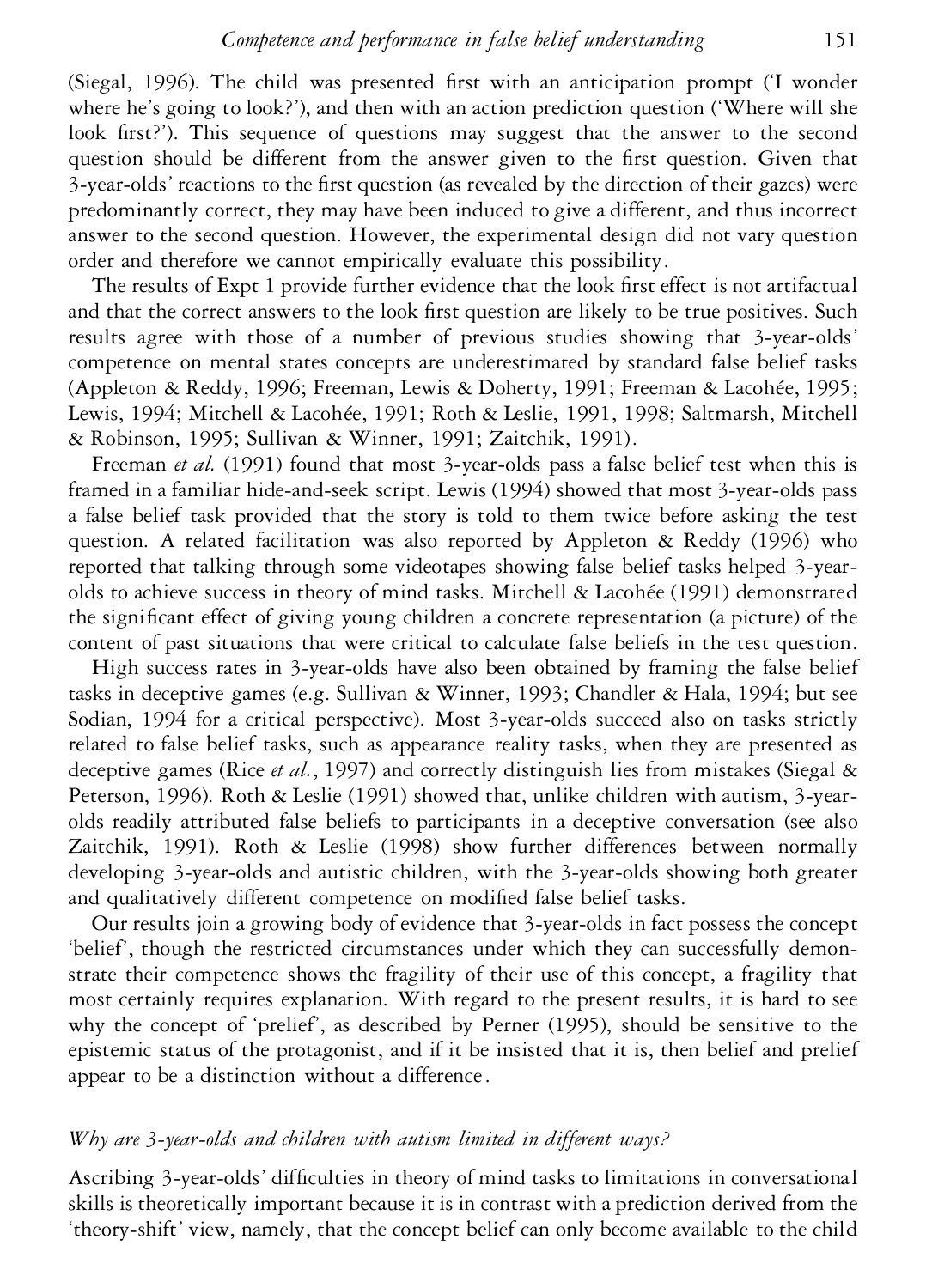(Siegal, 1996). The child was presented first with an anticipation prompt (T wonder where he's going to look?'), and then with an action prediction question ('Where will she look first?'). This sequence of questions may suggest that the answer to the second question should be different from the answer given to the first question. Given that 3-year-olds' reactions to the first question (as revealed by the direction of their gazes) were predominantly correct, they may have been induced to give a different, and thus incorrect answer to the second question. However, the experimental design did not vary question order and therefore we cannot empirically evaluate this possibility.

The results of Expt 1 provide further evidence that the look first effect is not artifactual and that the correct answers to the look first question are likely to be true positives. Such results agree with those of a number of previous studies showing that 3-year-olds' competence on mental states concepts are underestimated by standard false belief tasks (Appleton & Reddy, 1996; Freeman, Lewis & Doherty, 1991; Freeman & Lacohée, 1995; Lewis, 1994; Mitchell & Lacohée, 1991; Roth & Leslie, 1991, 1998; Saltmarsh, Mitchell & Robinson, 1995; Sullivan & Winner, 1991; Zaitchik, 1991).

Freeman *et al.* (1991) found that most 3-year-olds pass a false belief test when this is framed in a familiar hide-and-seek script. Lewis (1994) showed that most 3-year-olds pass a false belief task provided that the story is told to them twice before asking the test question. A related facilitation was also reported by Appleton & Reddy (1996) who reported that talking through some videotapes showing false belief tasks helped 3-year olds to achieve success in theory of mind tasks. Mitchell & Lacohée (1991) demonstrated the signicant effect of giving young children a concrete representation (a picture) of the content of past situations that were critical to calculate false beliefs in the test question.

High success rates in 3-year-olds have also been obtained by framing the false belief tasks in deceptive games (e.g. Sullivan & Winner, 1993; Chandler & Hala, 1994; but see Sodian, 1994 for a critical perspective). Most 3-year-olds succeed also on tasks strictly related to false belief tasks, such as appearance reality tasks, when they are presented as deceptive games (Rice *et al.*, 1997) and correctly distinguish lies from mistakes (Siegal & Peterson, 1996). Roth & Leslie (1991) showed that, unlike children with autism, 3-year olds readily attributed false beliefs to participants in a deceptive conversation (see also Zaitchik, 1991). Roth & Leslie (1998) show further differences between normally developing 3-year-olds and autistic children, with the 3-year-olds showing both greater and qualitatively different competence on modified false belief tasks.

Our results join a growing body of evidence that 3-year-olds in fact possess the concept 'belief', though the restricted circumstances under which they can successfully demonstrate their competence shows the fragility of their use of this concept, a fragility that most certainly requires explanation. With regard to the present results, it is hard to see why the concept of 'prelief', as described by Perner (1995), should be sensitive to the epistemic status of the protagonist, and if it be insisted that it is, then belief and prelief appear to be a distinction without a difference.

## *Why are 3-year-olds and children with autism limited in different ways?*

Ascribing 3-year-olds' difculties in theory of mind tasks to limitations in conversational skills is theoretically important because it is in contrast with a prediction derived from the 'theory-shift' view, namely, that the concept belief can only become available to the child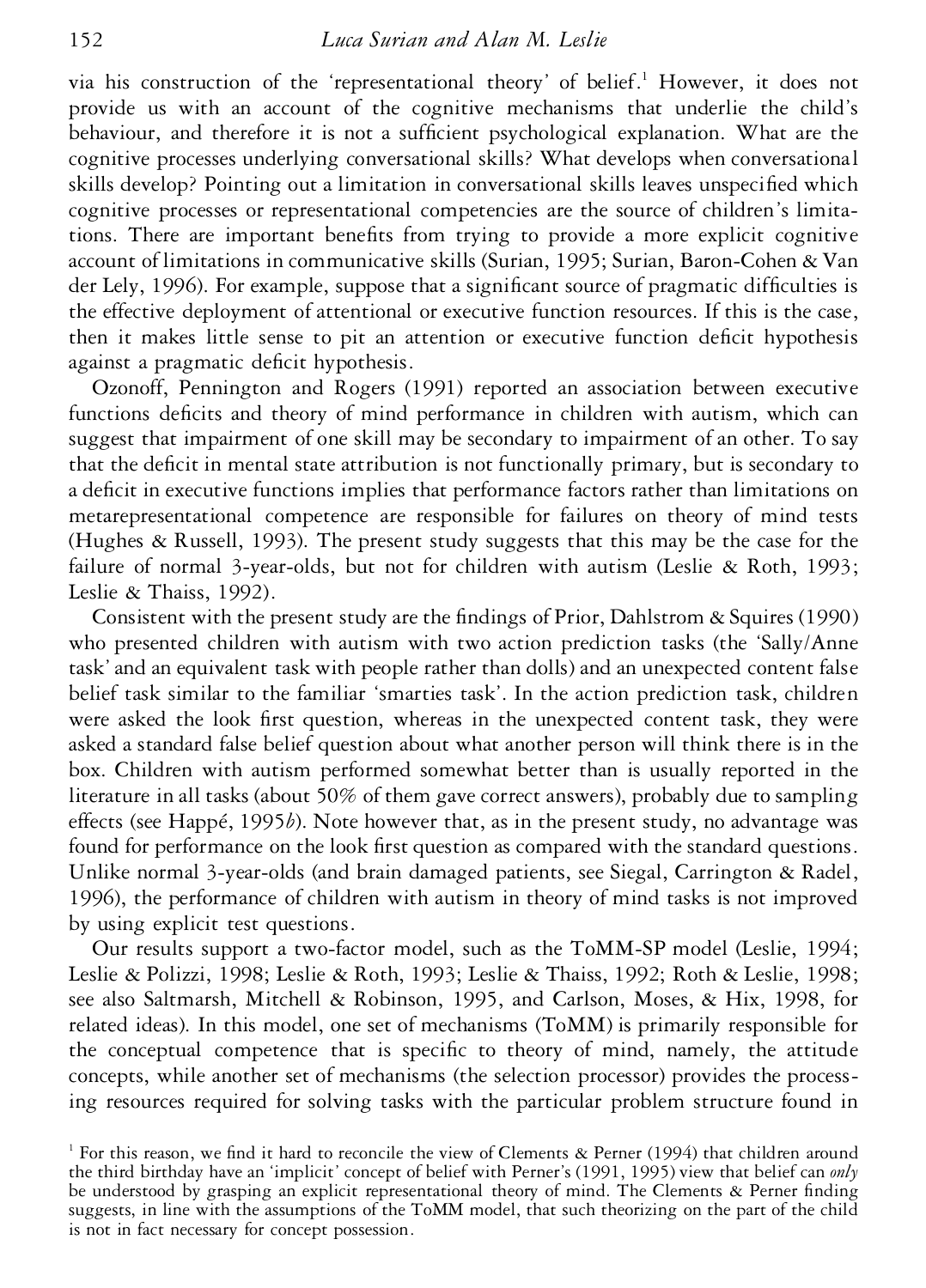via his construction of the 'representational theory' of belief.<sup>1</sup> However, it does not provide us with an account of the cognitive mechanisms that underlie the child's behaviour, and therefore it is not a sufficient psychological explanation. What are the cognitive processes underlying conversational skills? What develops when conversational skills develop? Pointing out a limitation in conversational skills leaves unspecified which cognitive processes or representational competencies are the source of children's limitations. There are important benets from trying to provide a more explicit cognitive account of limitations in communicative skills (Surian, 1995; Surian, Baron-Cohen & Van der Lely, 1996). For example, suppose that a significant source of pragmatic difficulties is the effective deployment of attentional or executive function resources. If this is the case, then it makes little sense to pit an attention or executive function deficit hypothesis against a pragmatic deficit hypothesis.

Ozonoff, Pennington and Rogers (1991) reported an association between executive functions deficits and theory of mind performance in children with autism, which can suggest that impairment of one skill may be secondary to impairment of an other. To say that the deficit in mental state attribution is not functionally primary, but is secondary to a deficit in executive functions implies that performance factors rather than limitations on metarepresentational competence are responsible for failures on theory of mind tests (Hughes & Russell, 1993). The present study suggests that this may be the case for the failure of normal 3-year-olds, but not for children with autism (Leslie & Roth, 1993; Leslie & Thaiss, 1992).

Consistent with the present study are the findings of Prior, Dahlstrom & Squires (1990) who presented children with autism with two action prediction tasks (the 'Sally/Anne task' and an equivalent task with people rather than dolls) and an unexpected content false belief task similar to the familiar 'smarties task'. In the action prediction task, children were asked the look first question, whereas in the unexpected content task, they were asked a standard false belief question about what another person will think there is in the box. Children with autism performed somewhat better than is usually reported in the literature in all tasks (about 50% of them gave correct answers), probably due to sampling effects (see Happé, 1995*b*). Note however that, as in the present study, no advantage was found for performance on the look first question as compared with the standard questions. Unlike normal 3-year-olds (and brain damaged patients, see Siegal, Carrington & Radel, 1996), the performance of children with autism in theory of mind tasks is not improved by using explicit test questions.

Our results support a two-factor model, such as the ToMM-SP model (Leslie, 1994; Leslie & Polizzi, 1998; Leslie & Roth, 1993; Leslie & Thaiss, 1992; Roth & Leslie, 1998; see also Saltmarsh, Mitchell & Robinson, 1995, and Carlson, Moses, & Hix, 1998, for related ideas). In this model, one set of mechanisms (ToMM) is primarily responsible for the conceptual competence that is specific to theory of mind, namely, the attitude concepts, while another set of mechanisms (the selection processor) provides the processing resources required for solving tasks with the particular problem structure found in

<sup>&</sup>lt;sup>1</sup> For this reason, we find it hard to reconcile the view of Clements & Perner (1994) that children around the third birthday have an 'implicit' concept of belief with Perner's (1991, 1995) view that belief can *only* be understood by grasping an explicit representational theory of mind. The Clements & Perner finding suggests, in line with the assumptions of the ToMM model, that such theorizing on the part of the child is not in fact necessary for concept possession.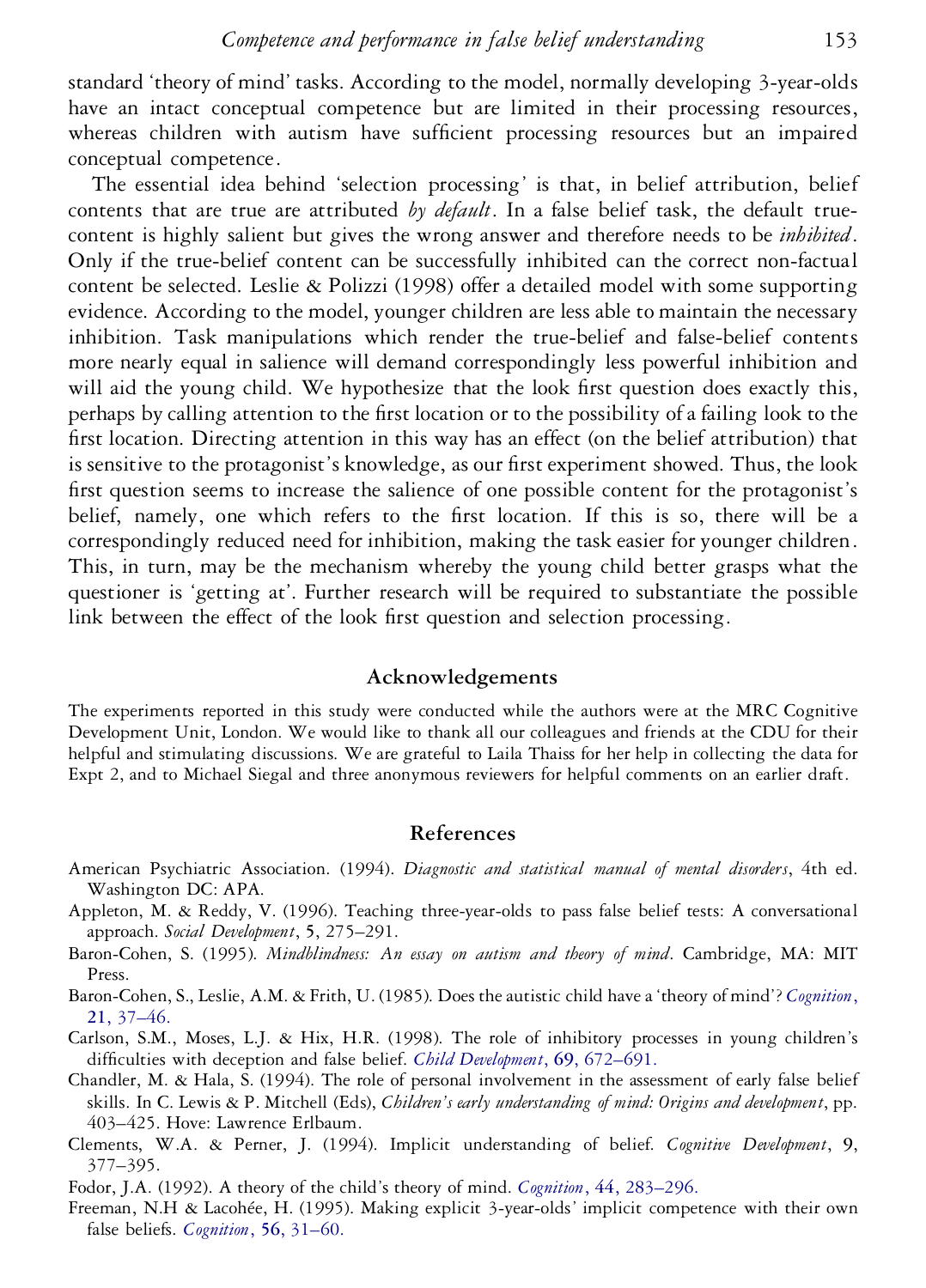standard 'theory of mind' tasks. According to the model, normally developing 3-year-olds have an intact conceptual competence but are limited in their processing resources, whereas children with autism have sufficient processing resources but an impaired conceptual competence.

The essential idea behind 'selection processing' is that, in belief attribution, belief contents that are true are attributed *by default*. In a false belief task, the default true content is highly salient but gives the wrong answer and therefore needs to be *inhibited*. Only if the true-belief content can be successfully inhibited can the correct non-factual content be selected. Leslie & Polizzi (1998) offer a detailed model with some supporting evidence. According to the model, younger children are less able to maintain the necessary inhibition. Task manipulations which render the true-belief and false-belief contents more nearly equal in salience will demand correspondingly less powerful inhibition and will aid the young child. We hypothesize that the look first question does exactly this, perhaps by calling attention to the first location or to the possibility of a failing look to the first location. Directing attention in this way has an effect (on the belief attribution) that is sensitive to the protagonist's knowledge, as our first experiment showed. Thus, the look first question seems to increase the salience of one possible content for the protagonist's belief, namely, one which refers to the first location. If this is so, there will be a correspondingly reduced need for inhibition, making the task easier for younger children. This, in turn, may be the mechanism whereby the young child better grasps what the questioner is 'getting at'. Further research will be required to substantiate the possible link between the effect of the look first question and selection processing.

# **Acknowledgements**

The experiments reported in this study were conducted while the authors were at the MRC Cognitive Development Unit, London. We would like to thank all our colleagues and friends at the CDU for their helpful and stimulating discussions. We are grateful to Laila Thaiss for her help in collecting the data for Expt 2, and to Michael Siegal and three anonymous reviewers for helpful comments on an earlier draft.

# **References**

- American Psychiatric Association. (1994). *Diagnostic and statistical manual of mental disorders*, 4th ed. Washington DC: APA.
- Appleton, M. & Reddy, V. (1996). Teaching three-year-olds to pass false belief tests: A conversational approach. *Social Development*, **5**, 275–291.
- Baron-Cohen, S. (1995). *Mindblindness: An essay on autism and theory of mind*. Cambridge, MA: MIT Press.

Baron-Cohen, S., Leslie, A.M. & Frith, U. (1985). Does the autistic child have a 'theory of mind'? *[Cognition](http://masetto.catchword.com/nw=1/rpsv/0010-0277^28^2921L.37[aid=17244,nlm=2934210])*, **21**[, 37–46.](http://masetto.catchword.com/nw=1/rpsv/0010-0277^28^2921L.37[aid=17244,nlm=2934210])

Carlson, S.M., Moses, L.J. & Hix, H.R. (1998). The role of inhibitory processes in young children's difculties with deception and false belief. *[Child Development](http://masetto.catchword.com/nw=1/rpsv/0009-3920^28^2969L.672[aid=17601,csa=0009-3920^26vol=69^26iss=3^26firstpage=672,nlm=9680679])*, **69**, 672–691.

- Chandler, M. & Hala, S. (1994). The role of personal involvement in the assessment of early false belief skills. In C. Lewis & P. Mitchell (Eds), *Children's early understanding of mind: Origins and development*, pp. 403–425. Hove: Lawrence Erlbaum.
- Clements, W.A. & Perner, J. (1994). Implicit understanding of belief. *Cognitive Development*, **9**, 377–395.
- Fodor, J.A. (1992). A theory of the child's theory of mind. *Cognition*, **44**[, 283–296.](http://masetto.catchword.com/nw=1/rpsv/0010-0277^28^2944L.283[aid=17603,csa=0010-0277^26vol=44^26iss=3^26firstpage=283,nlm=1424495])
- Freeman, N.H & Lacohée, H. (1995). Making explicit 3-year-olds' implicit competence with their own false beliefs. *[Cognition](http://masetto.catchword.com/nw=1/rpsv/0010-0277^28^2956L.31[aid=17604,csa=0010-0277^26vol=56^26iss=1^26firstpage=31,nlm=7634764])*, **56**, 31–60.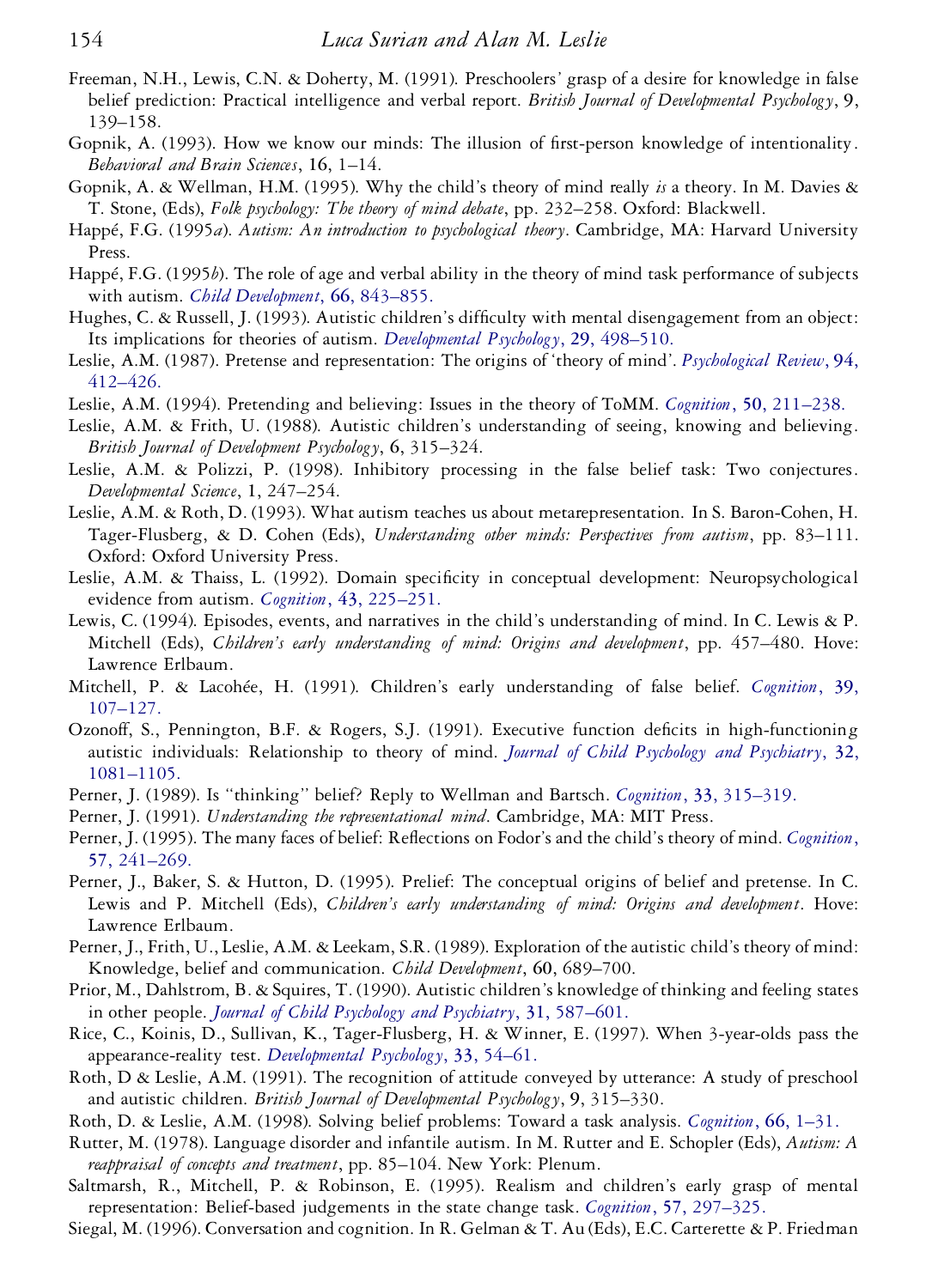- Freeman, N.H., Lewis, C.N. & Doherty, M. (1991). Preschoolers' grasp of a desire for knowledge in false belief prediction: Practical intelligence and verbal report. *British Journal of Developmental Psychology*, **9**, 139–158.
- Gopnik, A. (1993). How we know our minds: The illusion of first-person knowledge of intentionality. *Behavioral and Brain Sciences*, **16**, 1–14.
- Gopnik, A. & Wellman, H.M. (1995). Why the child's theory of mind really *is* a theory. In M. Davies & T. Stone, (Eds), *Folk psychology: The theory of mind debate*, pp. 232–258. Oxford: Blackwell.
- Happé, F.G. (1995*a*). *Autism: An introduction to psychological theory*. Cambridge, MA: Harvard University Press.
- Happé, F.G. (1995*b*). The role of age and verbal ability in the theory of mind task performance of subjects with autism. *[Child Development](http://masetto.catchword.com/nw=1/rpsv/0009-3920^28^2966L.843[aid=17607,csa=0009-3920^26vol=66^26iss=3^26firstpage=843,nlm=7789204])*, **66**, 843–855.
- Hughes, C. & Russell, J. (1993). Autistic children's difficulty with mental disengagement from an object: Its implications for theories of autism. *[Developmental Psychology](http://masetto.catchword.com/nw=1/rpsv/0012-1649^28^2929L.498[aid=17608])*, **29**, 498–510.
- Leslie, A.M. (1987). Pretense and representation: The origins of 'theory of mind'. *[Psychological Review](http://masetto.catchword.com/nw=1/rpsv/0033-295X^28^2994L.412[aid=17274])*, **94**, [412–426.](http://masetto.catchword.com/nw=1/rpsv/0033-295X^28^2994L.412[aid=17274])
- Leslie, A.M. (1994). Pretending and believing: Issues in the theory of ToMM. *Cognition*, **50**[, 211–238.](http://masetto.catchword.com/nw=1/rpsv/0010-0277^28^2950L.211[aid=17609,nlm=8039362])
- Leslie, A.M. & Frith, U. (1988). Autistic children's understanding of seeing, knowing and believing. *British Journal of Development Psychology*, **6**, 315–324.
- Leslie, A.M. & Polizzi, P. (1998). Inhibitory processing in the false belief task: Two conjectures. *Developmental Science*, **1**, 247–254.
- Leslie, A.M. & Roth, D. (1993). What autism teaches us about metarepresentation. In S. Baron-Cohen, H. Tager-Flusberg, & D. Cohen (Eds), *Understanding other minds: Perspectives from autism*, pp. 83–111. Oxford: Oxford University Press.
- Leslie, A.M. & Thaiss, L. (1992). Domain specificity in conceptual development: Neuropsychological evidence from autism. *Cognition*, **43**[, 225–251.](http://masetto.catchword.com/nw=1/rpsv/0010-0277^28^2943L.225[aid=17611,csa=0010-0277^26vol=43^26iss=3^26firstpage=225,nlm=1643814])
- Lewis, C. (1994). Episodes, events, and narratives in the child's understanding of mind. In C. Lewis & P. Mitchell (Eds), *Children's early understanding of mind: Origins and development*, pp. 457–480. Hove: Lawrence Erlbaum.
- Mitchell, P. & Lacohée, H. (1991). Children's early understanding of false belief. *[Cognition](http://masetto.catchword.com/nw=1/rpsv/0010-0277^28^2939L.107[aid=17612,csa=0010-0277^26vol=39^26iss=2^26firstpage=107,nlm=1934979])*, **39**, [107–127.](http://masetto.catchword.com/nw=1/rpsv/0010-0277^28^2939L.107[aid=17612,csa=0010-0277^26vol=39^26iss=2^26firstpage=107,nlm=1934979])
- Ozonoff, S., Pennington, B.F. & Rogers, S.J. (1991). Executive function deficits in high-functioning autistic individuals: Relationship to theory of mind. *[Journal of Child Psychology and Psychiatry](http://masetto.catchword.com/nw=1/rpsv/0021-9630^28^2932L.1081[aid=17613,csa=0021-9630^26vol=32^26iss=7^26firstpage=1081,nlm=1787138])*, **32**, [1081–1105.](http://masetto.catchword.com/nw=1/rpsv/0021-9630^28^2932L.1081[aid=17613,csa=0021-9630^26vol=32^26iss=7^26firstpage=1081,nlm=1787138])
- Perner, J. (1989). Is ''thinking'' belief? Reply to Wellman and Bartsch. *Cognition*, **33**[, 315–319.](http://masetto.catchword.com/nw=1/rpsv/0010-0277^28^2933L.315[aid=17614,csa=0010-0277^26vol=33^26iss=3^26firstpage=315,nlm=2605885])
- Perner, J. (1991). *Understanding the representational mind*. Cambridge, MA: MIT Press.
- Perner, J. (1995). The many faces of belief: Reflections on Fodor's and the child's theory of mind. *[Cognition](http://masetto.catchword.com/nw=1/rpsv/0010-0277^28^2957L.241[aid=17615,csa=0010-0277^26vol=57^26iss=3^26firstpage=241,nlm=8556843])*, **57**[, 241–269.](http://masetto.catchword.com/nw=1/rpsv/0010-0277^28^2957L.241[aid=17615,csa=0010-0277^26vol=57^26iss=3^26firstpage=241,nlm=8556843])
- Perner, J., Baker, S. & Hutton, D. (1995). Prelief: The conceptual origins of belief and pretense. In C. Lewis and P. Mitchell (Eds), *Children's early understanding of mind: Origins and development*. Hove: Lawrence Erlbaum.
- Perner, J., Frith, U., Leslie, A.M. & Leekam, S.R. (1989). Exploration of the autistic child's theory of mind: Knowledge, belief and communication. *Child Development*, **60**, 689–700.
- Prior, M., Dahlstrom, B. & Squires, T. (1990). Autistic children's knowledge of thinking and feeling states in other people. *[Journal of Child Psychology and Psychiatry](http://masetto.catchword.com/nw=1/rpsv/0021-9630^28^2931L.587[aid=17616,csa=0021-9630^26vol=31^26iss=4^26firstpage=587,nlm=2365761])*, **31**, 587–601.
- Rice, C., Koinis, D., Sullivan, K., Tager-Flusberg, H. & Winner, E. (1997). When 3-year-olds pass the appearance-reality test. *[Developmental Psychology](http://masetto.catchword.com/nw=1/rpsv/0012-1649^28^2933L.54[aid=17617,csa=0012-1649^26vol=33^26iss=1^26firstpage=54,nlm=9050390])*, **33**, 54–61.
- Roth, D & Leslie, A.M. (1991). The recognition of attitude conveyed by utterance: A study of preschool and autistic children. *British Journal of Developmental Psychology*, **9**, 315–330.
- Roth, D. & Leslie, A.M. (1998). Solving belief problems: Toward a task analysis. *[Cognition](http://masetto.catchword.com/nw=1/rpsv/0010-0277^28^2966L.1[aid=17619,csa=0010-0277^26vol=66^26iss=1^26firstpage=1,nlm=9675976])*, **66**, 1–31.
- Rutter, M. (1978). Language disorder and infantile autism. In M. Rutter and E. Schopler (Eds), *Autism: A reappraisal of concepts and treatment*, pp. 85–104. New York: Plenum.
- Saltmarsh, R., Mitchell, P. & Robinson, E. (1995). Realism and children's early grasp of mental representation: Belief-based judgements in the state change task. *Cognition*, **57**[, 297–325.](http://masetto.catchword.com/nw=1/rpsv/0010-0277^28^2957L.297[aid=17620,csa=0010-0277^26vol=57^26iss=3^26firstpage=297,nlm=8556845])
- Siegal, M. (1996). Conversation and cognition. In R. Gelman & T. Au (Eds), E.C. Carterette & P. Friedman